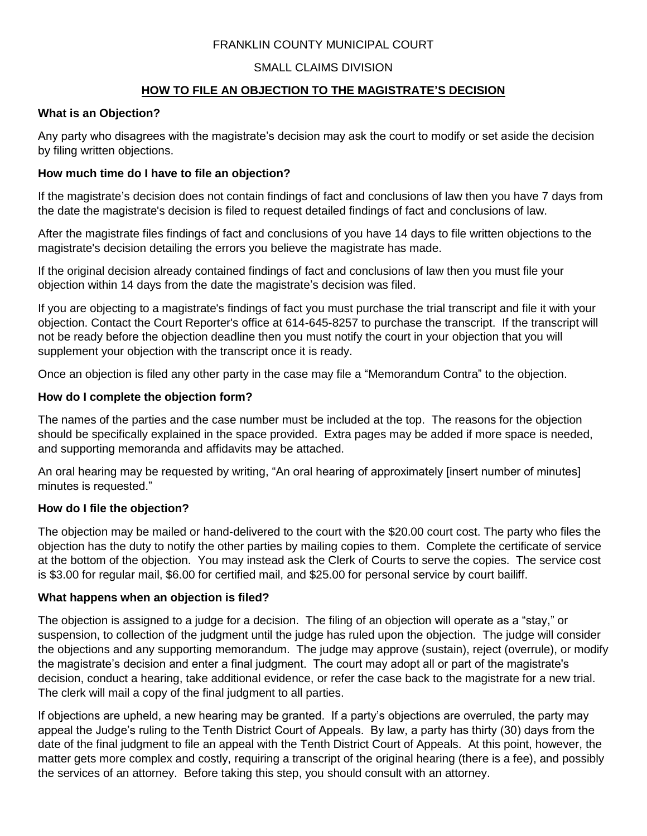## FRANKLIN COUNTY MUNICIPAL COURT

# SMALL CLAIMS DIVISION

# **HOW TO FILE AN OBJECTION TO THE MAGISTRATE'S DECISION**

#### **What is an Objection?**

Any party who disagrees with the magistrate's decision may ask the court to modify or set aside the decision by filing written objections.

#### **How much time do I have to file an objection?**

If the magistrate's decision does not contain findings of fact and conclusions of law then you have 7 days from the date the magistrate's decision is filed to request detailed findings of fact and conclusions of law.

After the magistrate files findings of fact and conclusions of you have 14 days to file written objections to the magistrate's decision detailing the errors you believe the magistrate has made.

If the original decision already contained findings of fact and conclusions of law then you must file your objection within 14 days from the date the magistrate's decision was filed.

If you are objecting to a magistrate's findings of fact you must purchase the trial transcript and file it with your objection. Contact the Court Reporter's office at 614-645-8257 to purchase the transcript. If the transcript will not be ready before the objection deadline then you must notify the court in your objection that you will supplement your objection with the transcript once it is ready.

Once an objection is filed any other party in the case may file a "Memorandum Contra" to the objection.

#### **How do I complete the objection form?**

The names of the parties and the case number must be included at the top. The reasons for the objection should be specifically explained in the space provided. Extra pages may be added if more space is needed, and supporting memoranda and affidavits may be attached.

An oral hearing may be requested by writing, "An oral hearing of approximately [insert number of minutes] minutes is requested."

#### **How do I file the objection?**

The objection may be mailed or hand-delivered to the court with the \$20.00 court cost. The party who files the objection has the duty to notify the other parties by mailing copies to them. Complete the certificate of service at the bottom of the objection. You may instead ask the Clerk of Courts to serve the copies. The service cost is \$3.00 for regular mail, \$6.00 for certified mail, and \$25.00 for personal service by court bailiff.

#### **What happens when an objection is filed?**

The objection is assigned to a judge for a decision. The filing of an objection will operate as a "stay," or suspension, to collection of the judgment until the judge has ruled upon the objection. The judge will consider the objections and any supporting memorandum. The judge may approve (sustain), reject (overrule), or modify the magistrate's decision and enter a final judgment. The court may adopt all or part of the magistrate's decision, conduct a hearing, take additional evidence, or refer the case back to the magistrate for a new trial. The clerk will mail a copy of the final judgment to all parties.

If objections are upheld, a new hearing may be granted. If a party's objections are overruled, the party may appeal the Judge's ruling to the Tenth District Court of Appeals. By law, a party has thirty (30) days from the date of the final judgment to file an appeal with the Tenth District Court of Appeals. At this point, however, the matter gets more complex and costly, requiring a transcript of the original hearing (there is a fee), and possibly the services of an attorney. Before taking this step, you should consult with an attorney.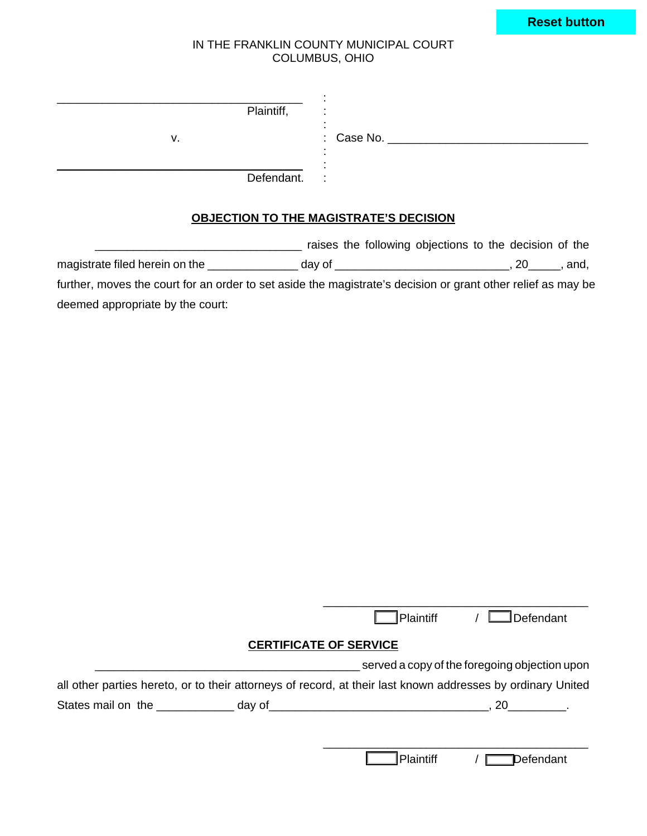|  |  | <b>Reset button</b> |
|--|--|---------------------|
|  |  |                     |

#### IN THE FRANKLIN COUNTY MUNICIPAL COURT COLUMBUS, OHIO

| Plaintiff, |                              |
|------------|------------------------------|
| v.         | $\therefore$ Case No. $\_\_$ |
| Defendant. | $\sim$ 1.                    |

# **OBJECTION TO THE MAGISTRATE'S DECISION**

|                                                                                                              |        | raises the following objections to the decision of the |     |      |
|--------------------------------------------------------------------------------------------------------------|--------|--------------------------------------------------------|-----|------|
| magistrate filed herein on the                                                                               | dav of |                                                        | .20 | and. |
| further, moves the court for an order to set aside the magistrate's decision or grant other relief as may be |        |                                                        |     |      |
| deemed appropriate by the court:                                                                             |        |                                                        |     |      |

|                                               |  | Plaintiff                                                                                                   | / Defendant |
|-----------------------------------------------|--|-------------------------------------------------------------------------------------------------------------|-------------|
|                                               |  | <b>CERTIFICATE OF SERVICE</b>                                                                               |             |
| served a copy of the foregoing objection upon |  |                                                                                                             |             |
|                                               |  | all other parties hereto, or to their attorneys of record, at their last known addresses by ordinary United |             |
|                                               |  |                                                                                                             |             |
|                                               |  |                                                                                                             |             |
|                                               |  |                                                                                                             |             |

\_\_\_\_\_\_\_\_\_\_\_\_\_\_\_\_\_\_\_\_\_\_\_\_\_\_\_\_\_\_\_\_\_\_\_\_\_\_\_\_\_

Plaintiff / Defendant